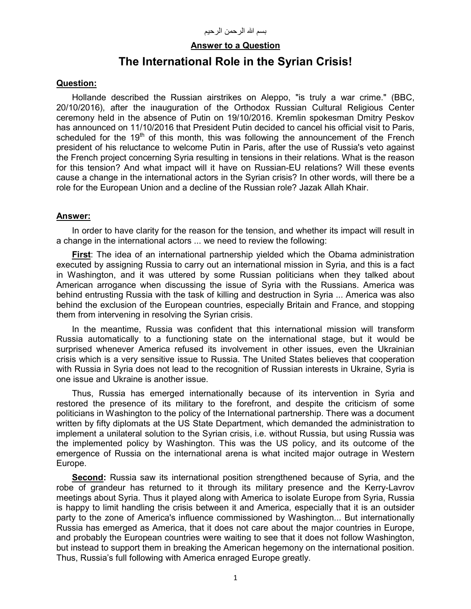## **Answer to a Question**

# **The International Role in the Syrian Crisis!**

## **Question:**

Hollande described the Russian airstrikes on Aleppo, "is truly a war crime." (BBC, 20/10/2016), after the inauguration of the Orthodox Russian Cultural Religious Center ceremony held in the absence of Putin on 19/10/2016. Kremlin spokesman Dmitry Peskov has announced on 11/10/2016 that President Putin decided to cancel his official visit to Paris, scheduled for the 19<sup>th</sup> of this month, this was following the announcement of the French president of his reluctance to welcome Putin in Paris, after the use of Russia's veto against the French project concerning Syria resulting in tensions in their relations. What is the reason for this tension? And what impact will it have on Russian-EU relations? Will these events cause a change in the international actors in the Syrian crisis? In other words, will there be a role for the European Union and a decline of the Russian role? Jazak Allah Khair.

## **Answer:**

In order to have clarity for the reason for the tension, and whether its impact will result in a change in the international actors ... we need to review the following:

**First**: The idea of an international partnership yielded which the Obama administration executed by assigning Russia to carry out an international mission in Syria, and this is a fact in Washington, and it was uttered by some Russian politicians when they talked about American arrogance when discussing the issue of Syria with the Russians. America was behind entrusting Russia with the task of killing and destruction in Syria ... America was also behind the exclusion of the European countries, especially Britain and France, and stopping them from intervening in resolving the Syrian crisis.

In the meantime, Russia was confident that this international mission will transform Russia automatically to a functioning state on the international stage, but it would be surprised whenever America refused its involvement in other issues, even the Ukrainian crisis which is a very sensitive issue to Russia. The United States believes that cooperation with Russia in Syria does not lead to the recognition of Russian interests in Ukraine, Syria is one issue and Ukraine is another issue.

Thus, Russia has emerged internationally because of its intervention in Syria and restored the presence of its military to the forefront, and despite the criticism of some politicians in Washington to the policy of the International partnership. There was a document written by fifty diplomats at the US State Department, which demanded the administration to implement a unilateral solution to the Syrian crisis, i.e. without Russia, but using Russia was the implemented policy by Washington. This was the US policy, and its outcome of the emergence of Russia on the international arena is what incited major outrage in Western Europe.

**Second:** Russia saw its international position strengthened because of Syria, and the robe of grandeur has returned to it through its military presence and the Kerry-Lavrov meetings about Syria. Thus it played along with America to isolate Europe from Syria, Russia is happy to limit handling the crisis between it and America, especially that it is an outsider party to the zone of America's influence commissioned by Washington... But internationally Russia has emerged as America, that it does not care about the major countries in Europe, and probably the European countries were waiting to see that it does not follow Washington, but instead to support them in breaking the American hegemony on the international position. Thus, Russia's full following with America enraged Europe greatly.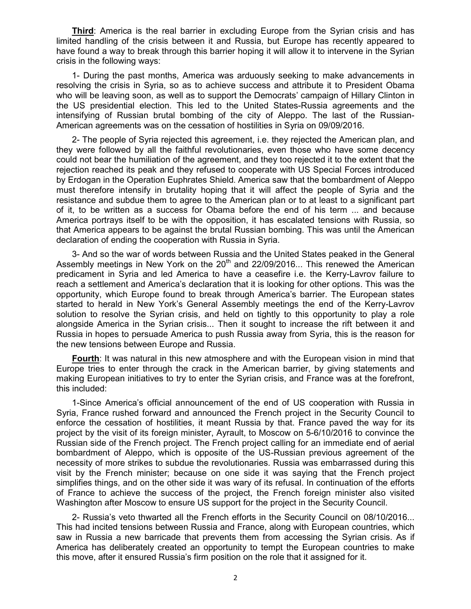**Third**: America is the real barrier in excluding Europe from the Syrian crisis and has limited handling of the crisis between it and Russia, but Europe has recently appeared to have found a way to break through this barrier hoping it will allow it to intervene in the Syrian crisis in the following ways:

1- During the past months, America was arduously seeking to make advancements in resolving the crisis in Syria, so as to achieve success and attribute it to President Obama who will be leaving soon, as well as to support the Democrats' campaign of Hillary Clinton in the US presidential election. This led to the United States-Russia agreements and the intensifying of Russian brutal bombing of the city of Aleppo. The last of the Russian-American agreements was on the cessation of hostilities in Syria on 09/09/2016.

2- The people of Syria rejected this agreement, i.e. they rejected the American plan, and they were followed by all the faithful revolutionaries, even those who have some decency could not bear the humiliation of the agreement, and they too rejected it to the extent that the rejection reached its peak and they refused to cooperate with US Special Forces introduced by Erdogan in the Operation Euphrates Shield. America saw that the bombardment of Aleppo must therefore intensify in brutality hoping that it will affect the people of Syria and the resistance and subdue them to agree to the American plan or to at least to a significant part of it, to be written as a success for Obama before the end of his term ... and because America portrays itself to be with the opposition, it has escalated tensions with Russia, so that America appears to be against the brutal Russian bombing. This was until the American declaration of ending the cooperation with Russia in Syria.

3- And so the war of words between Russia and the United States peaked in the General Assembly meetings in New York on the  $20<sup>th</sup>$  and  $22/09/2016...$  This renewed the American predicament in Syria and led America to have a ceasefire i.e. the Kerry-Lavrov failure to reach a settlement and America's declaration that it is looking for other options. This was the opportunity, which Europe found to break through America's barrier. The European states started to herald in New York's General Assembly meetings the end of the Kerry-Lavrov solution to resolve the Syrian crisis, and held on tightly to this opportunity to play a role alongside America in the Syrian crisis... Then it sought to increase the rift between it and Russia in hopes to persuade America to push Russia away from Syria, this is the reason for the new tensions between Europe and Russia.

**Fourth**: It was natural in this new atmosphere and with the European vision in mind that Europe tries to enter through the crack in the American barrier, by giving statements and making European initiatives to try to enter the Syrian crisis, and France was at the forefront, this included:

1-Since America's official announcement of the end of US cooperation with Russia in Syria, France rushed forward and announced the French project in the Security Council to enforce the cessation of hostilities, it meant Russia by that. France paved the way for its project by the visit of its foreign minister, Ayrault, to Moscow on 5-6/10/2016 to convince the Russian side of the French project. The French project calling for an immediate end of aerial bombardment of Aleppo, which is opposite of the US-Russian previous agreement of the necessity of more strikes to subdue the revolutionaries. Russia was embarrassed during this visit by the French minister; because on one side it was saying that the French project simplifies things, and on the other side it was wary of its refusal. In continuation of the efforts of France to achieve the success of the project, the French foreign minister also visited Washington after Moscow to ensure US support for the project in the Security Council.

2- Russia's veto thwarted all the French efforts in the Security Council on 08/10/2016... This had incited tensions between Russia and France, along with European countries, which saw in Russia a new barricade that prevents them from accessing the Syrian crisis. As if America has deliberately created an opportunity to tempt the European countries to make this move, after it ensured Russia's firm position on the role that it assigned for it.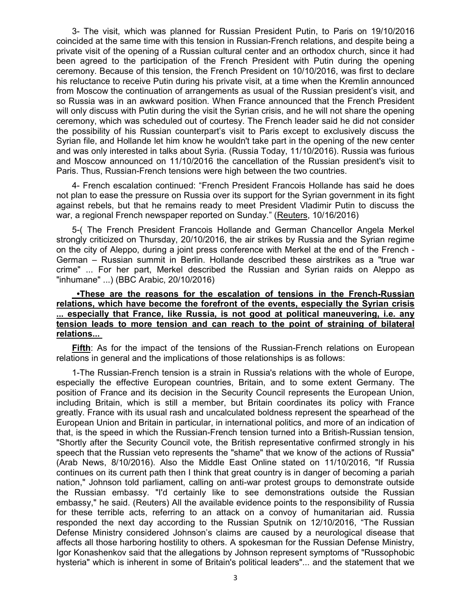3- The visit, which was planned for Russian President Putin, to Paris on 19/10/2016 coincided at the same time with this tension in Russian-French relations, and despite being a private visit of the opening of a Russian cultural center and an orthodox church, since it had been agreed to the participation of the French President with Putin during the opening ceremony. Because of this tension, the French President on 10/10/2016, was first to declare his reluctance to receive Putin during his private visit, at a time when the Kremlin announced from Moscow the continuation of arrangements as usual of the Russian president's visit, and so Russia was in an awkward position. When France announced that the French President will only discuss with Putin during the visit the Syrian crisis, and he will not share the opening ceremony, which was scheduled out of courtesy. The French leader said he did not consider the possibility of his Russian counterpart's visit to Paris except to exclusively discuss the Syrian file, and Hollande let him know he wouldn't take part in the opening of the new center and was only interested in talks about Syria. (Russia Today, 11/10/2016). Russia was furious and Moscow announced on 11/10/2016 the cancellation of the Russian president's visit to Paris. Thus, Russian-French tensions were high between the two countries.

4- French escalation continued: "French President Francois Hollande has said he does not plan to ease the pressure on Russia over its support for the Syrian government in its fight against rebels, but that he remains ready to meet President Vladimir Putin to discuss the war, a regional French newspaper reported on Sunday." (Reuters, 10/16/2016)

5-( The French President Francois Hollande and German Chancellor Angela Merkel strongly criticized on Thursday, 20/10/2016, the air strikes by Russia and the Syrian regime on the city of Aleppo, during a joint press conference with Merkel at the end of the French - German – Russian summit in Berlin. Hollande described these airstrikes as a "true war crime" ... For her part, Merkel described the Russian and Syrian raids on Aleppo as "inhumane" ...) (BBC Arabic, 20/10/2016)

### **•These are the reasons for the escalation of tensions in the French-Russian relations, which have become the forefront of the events, especially the Syrian crisis ... especially that France, like Russia, is not good at political maneuvering, i.e. any tension leads to more tension and can reach to the point of straining of bilateral relations...**

**Fifth**: As for the impact of the tensions of the Russian-French relations on European relations in general and the implications of those relationships is as follows:

1-The Russian-French tension is a strain in Russia's relations with the whole of Europe, especially the effective European countries, Britain, and to some extent Germany. The position of France and its decision in the Security Council represents the European Union, including Britain, which is still a member, but Britain coordinates its policy with France greatly. France with its usual rash and uncalculated boldness represent the spearhead of the European Union and Britain in particular, in international politics, and more of an indication of that, is the speed in which the Russian-French tension turned into a British-Russian tension, "Shortly after the Security Council vote, the British representative confirmed strongly in his speech that the Russian veto represents the "shame" that we know of the actions of Russia" (Arab News, 8/10/2016). Also the Middle East Online stated on 11/10/2016, "If Russia continues on its current path then I think that great country is in danger of becoming a pariah nation," Johnson told parliament, calling on anti-war protest groups to demonstrate outside the Russian embassy. "I'd certainly like to see demonstrations outside the Russian embassy," he said. (Reuters) All the available evidence points to the responsibility of Russia for these terrible acts, referring to an attack on a convoy of humanitarian aid. Russia responded the next day according to the Russian Sputnik on 12/10/2016, "The Russian Defense Ministry considered Johnson's claims are caused by a neurological disease that affects all those harboring hostility to others. A spokesman for the Russian Defense Ministry, Igor Konashenkov said that the allegations by Johnson represent symptoms of "Russophobic hysteria" which is inherent in some of Britain's political leaders"... and the statement that we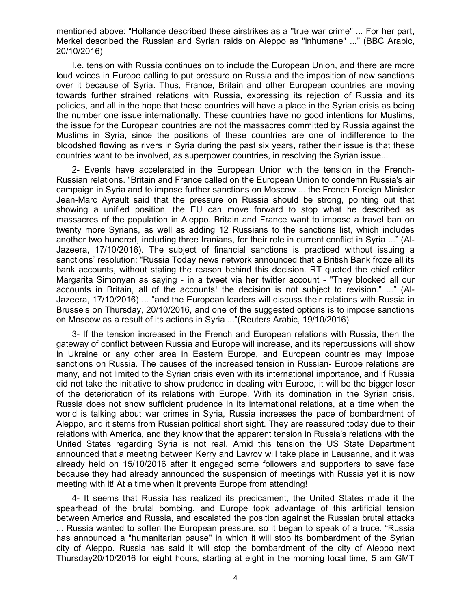mentioned above: "Hollande described these airstrikes as a "true war crime" ... For her part, Merkel described the Russian and Syrian raids on Aleppo as "inhumane" ..." (BBC Arabic, 20/10/2016)

I.e. tension with Russia continues on to include the European Union, and there are more loud voices in Europe calling to put pressure on Russia and the imposition of new sanctions over it because of Syria. Thus, France, Britain and other European countries are moving towards further strained relations with Russia, expressing its rejection of Russia and its policies, and all in the hope that these countries will have a place in the Syrian crisis as being the number one issue internationally. These countries have no good intentions for Muslims, the issue for the European countries are not the massacres committed by Russia against the Muslims in Syria, since the positions of these countries are one of indifference to the bloodshed flowing as rivers in Syria during the past six years, rather their issue is that these countries want to be involved, as superpower countries, in resolving the Syrian issue ...

2- Events have accelerated in the European Union with the tension in the French-Russian relations. "Britain and France called on the European Union to condemn Russia's air campaign in Syria and to impose further sanctions on Moscow ... the French Foreign Minister Jean-Marc Ayrault said that the pressure on Russia should be strong, pointing out that showing a unified position, the EU can move forward to stop what he described as massacres of the population in Aleppo. Britain and France want to impose a travel ban on twenty more Syrians, as well as adding 12 Russians to the sanctions list, which includes another two hundred, including three Iranians, for their role in current conflict in Syria ..." (Al-Jazeera, 17/10/2016). The subject of financial sanctions is practiced without issuing a sanctions' resolution: "Russia Today news network announced that a British Bank froze all its bank accounts, without stating the reason behind this decision. RT quoted the chief editor Margarita Simonyan as saying - in a tweet via her twitter account - "They blocked all our accounts in Britain, all of the accounts! the decision is not subject to revision." ..." (Al-Jazeera, 17/10/2016) ... "and the European leaders will discuss their relations with Russia in Brussels on Thursday, 20/10/2016, and one of the suggested options is to impose sanctions on Moscow as a result of its actions in Syria ..."(Reuters Arabic, 19/10/2016)

3- If the tension increased in the French and European relations with Russia, then the gateway of conflict between Russia and Europe will increase, and its repercussions will show in Ukraine or any other area in Eastern Europe, and European countries may impose sanctions on Russia. The causes of the increased tension in Russian- Europe relations are many, and not limited to the Syrian crisis even with its international importance, and if Russia did not take the initiative to show prudence in dealing with Europe, it will be the bigger loser of the deterioration of its relations with Europe. With its domination in the Syrian crisis, Russia does not show sufficient prudence in its international relations, at a time when the world is talking about war crimes in Syria, Russia increases the pace of bombardment of Aleppo, and it stems from Russian political short sight. They are reassured today due to their relations with America, and they know that the apparent tension in Russia's relations with the United States regarding Syria is not real. Amid this tension the US State Department announced that a meeting between Kerry and Lavrov will take place in Lausanne, and it was already held on 15/10/2016 after it engaged some followers and supporters to save face because they had already announced the suspension of meetings with Russia yet it is now meeting with it! At a time when it prevents Europe from attending!

4- It seems that Russia has realized its predicament, the United States made it the spearhead of the brutal bombing, and Europe took advantage of this artificial tension between America and Russia, and escalated the position against the Russian brutal attacks ... Russia wanted to soften the European pressure, so it began to speak of a truce. "Russia has announced a "humanitarian pause" in which it will stop its bombardment of the Syrian city of Aleppo. Russia has said it will stop the bombardment of the city of Aleppo next Thursday20/10/2016 for eight hours, starting at eight in the morning local time, 5 am GMT